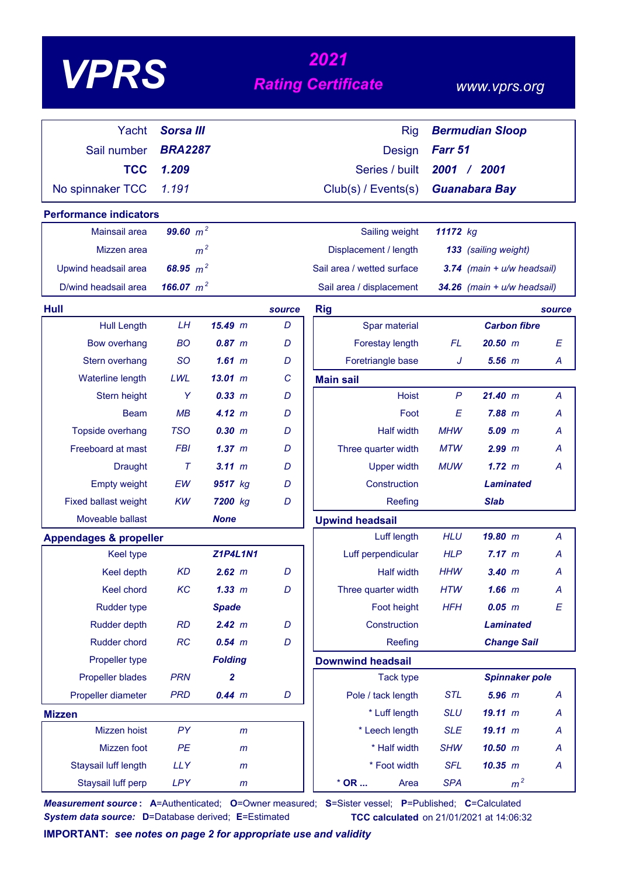# *<sup>2021</sup> VPRS Rating Certificate*

### *www.vprs.org*

| Yacht                             | <b>Sorsa III</b> |                 |        | <b>Rig</b>                 |                                | <b>Bermudian Sloop</b>          |        |  |  |
|-----------------------------------|------------------|-----------------|--------|----------------------------|--------------------------------|---------------------------------|--------|--|--|
| Sail number                       | <b>BRA2287</b>   |                 |        | <b>Design</b>              | Farr 51                        |                                 |        |  |  |
| <b>TCC</b>                        | 1.209            |                 |        | Series / built             | 2001                           | $/$ 2001                        |        |  |  |
| No spinnaker TCC                  | 1.191            |                 |        | Club(s) / Events(s)        |                                | <b>Guanabara Bay</b>            |        |  |  |
| <b>Performance indicators</b>     |                  |                 |        |                            |                                |                                 |        |  |  |
| Mainsail area                     | 99.60 $m^2$      |                 |        | Sailing weight             | 11172 kg                       |                                 |        |  |  |
| Mizzen area                       | m <sup>2</sup>   |                 |        | Displacement / length      | 133 (sailing weight)           |                                 |        |  |  |
| Upwind headsail area              | 68.95 $m^2$      |                 |        | Sail area / wetted surface | $3.74$ (main + $u/w$ headsail) |                                 |        |  |  |
| D/wind headsail area              | 166.07 $m^2$     |                 |        | Sail area / displacement   |                                | $34.26$ (main + $u/w$ headsail) |        |  |  |
| <b>Hull</b>                       |                  |                 | source | <b>Rig</b>                 |                                |                                 | source |  |  |
| <b>Hull Length</b>                | <b>LH</b>        | 15.49 m         | D      | Spar material              |                                | <b>Carbon fibre</b>             |        |  |  |
| <b>Bow overhang</b>               | <b>BO</b>        | 0.87~m          | D      | Forestay length            | <b>FL</b>                      | 20.50~m                         | E      |  |  |
| Stern overhang                    | <b>SO</b>        | 1.61~m          | D      | Foretriangle base          | J                              | $5.56$ $m$                      | A      |  |  |
| Waterline length                  | LWL              | $13.01 \; m$    | C      | <b>Main sail</b>           |                                |                                 |        |  |  |
| <b>Stern height</b>               | Y                | 0.33 m          | D      | <b>Hoist</b>               | $\mathsf{P}$                   | 21.40~m                         | A      |  |  |
| <b>Beam</b>                       | MB               | 4.12 m          | D      | Foot                       | E                              | 7.88 m                          | Α      |  |  |
| Topside overhang                  | <b>TSO</b>       | 0.30 m          | D      | <b>Half width</b>          | <b>MHW</b>                     | $5.09$ $m$                      | А      |  |  |
| Freeboard at mast                 | <b>FBI</b>       | 1.37~m          | D      | Three quarter width        | <b>MTW</b>                     | $2.99$ $m$                      | А      |  |  |
| <b>Draught</b>                    | $\tau$           | $3.11 \; m$     | D      | <b>Upper width</b>         | <b>MUW</b>                     | 1.72~m                          | Α      |  |  |
| <b>Empty weight</b>               | EW               | 9517 kg         | D      | Construction               |                                | <b>Laminated</b>                |        |  |  |
| <b>Fixed ballast weight</b>       | <b>KW</b>        | 7200 kg         | D      | Reefing                    |                                | <b>Slab</b>                     |        |  |  |
| Moveable ballast                  |                  | <b>None</b>     |        | <b>Upwind headsail</b>     |                                |                                 |        |  |  |
| <b>Appendages &amp; propeller</b> |                  |                 |        | Luff length                | <b>HLU</b>                     | 19.80 m                         | A      |  |  |
| <b>Keel type</b>                  |                  | <b>Z1P4L1N1</b> |        | Luff perpendicular         | <b>HLP</b>                     | 7.17 m                          | A      |  |  |
| Keel depth                        | <b>KD</b>        | 2.62 m          | D      | <b>Half width</b>          | HHW                            | 3.40~m                          | A      |  |  |
| Keel chord                        | KC               | 1.33 m          | D      | Three quarter width        | <b>HTW</b>                     | $1.66$ $m$                      | A      |  |  |
| <b>Rudder type</b>                |                  | <b>Spade</b>    |        | Foot height                | <b>HFH</b>                     | $0.05$ $m$                      | E      |  |  |
| <b>Rudder depth</b>               | <b>RD</b>        | 2.42 m          | D      | Construction               |                                | <b>Laminated</b>                |        |  |  |
| Rudder chord                      | RC               | $0.54$ $m$      | D      | Reefing                    |                                | <b>Change Sail</b>              |        |  |  |
| Propeller type                    |                  | <b>Folding</b>  |        | <b>Downwind headsail</b>   |                                |                                 |        |  |  |
| <b>Propeller blades</b>           | <b>PRN</b>       | 2               |        | <b>Tack type</b>           |                                | <b>Spinnaker pole</b>           |        |  |  |
| Propeller diameter                | <b>PRD</b>       | $0.44$ m        | D      | Pole / tack length         | <b>STL</b>                     | $5.96$ $m$                      | A      |  |  |
| <b>Mizzen</b>                     |                  |                 |        | * Luff length              | <b>SLU</b>                     | 19.11 m                         | A      |  |  |
| Mizzen hoist                      | PY               | m               |        | * Leech length             | <b>SLE</b>                     | 19.11 m                         | A      |  |  |
| Mizzen foot                       | PE               | m               |        | * Half width               | <b>SHW</b>                     | 10.50 m                         | A      |  |  |
| Staysail luff length              | <b>LLY</b>       | m               |        | * Foot width               | <b>SFL</b>                     | 10.35 m                         | A      |  |  |
| Staysail luff perp                | <b>LPY</b>       | m               |        | $*$ OR<br>Area             | <b>SPA</b>                     | m <sup>2</sup>                  |        |  |  |

*Measurement source* **: A**=Authenticated; **O**=Owner measured; **S**=Sister vessel; **P**=Published; **C**=Calculated *System data source:* **D**=Database derived; **E**=Estimated **TCC calculated** on 21/01/2021 at 14:06:32

**IMPORTANT:** *see notes on page 2 for appropriate use and validity*